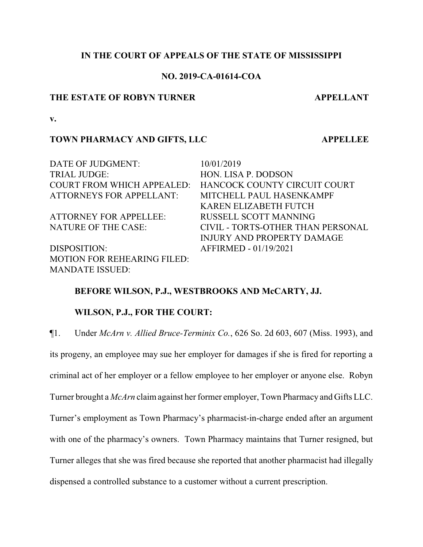## **IN THE COURT OF APPEALS OF THE STATE OF MISSISSIPPI**

# **NO. 2019-CA-01614-COA**

#### **THE ESTATE OF ROBYN TURNER APPELLANT**

**v.**

## **TOWN PHARMACY AND GIFTS, LLC APPELLEE**

DATE OF JUDGMENT:  $10/01/2019$ TRIAL JUDGE: HON. LISA P. DODSON COURT FROM WHICH APPEALED: HANCOCK COUNTY CIRCUIT COURT ATTORNEYS FOR APPELLANT: MITCHELL PAUL HASENKAMPF KAREN ELIZABETH FUTCH ATTORNEY FOR APPELLEE: RUSSELL SCOTT MANNING NATURE OF THE CASE: CIVIL - TORTS-OTHER THAN PERSONAL INJURY AND PROPERTY DAMAGE DISPOSITION: AFFIRMED - 01/19/2021 MOTION FOR REHEARING FILED: MANDATE ISSUED:

## **BEFORE WILSON, P.J., WESTBROOKS AND McCARTY, JJ.**

# **WILSON, P.J., FOR THE COURT:**

¶1. Under *McArn v. Allied Bruce-Terminix Co.*, 626 So. 2d 603, 607 (Miss. 1993), and

its progeny, an employee may sue her employer for damages if she is fired for reporting a criminal act of her employer or a fellow employee to her employer or anyone else. Robyn Turner brought a *McArn* claimagainst her former employer, Town Pharmacy and Gifts LLC. Turner's employment as Town Pharmacy's pharmacist-in-charge ended after an argument with one of the pharmacy's owners. Town Pharmacy maintains that Turner resigned, but Turner alleges that she was fired because she reported that another pharmacist had illegally dispensed a controlled substance to a customer without a current prescription.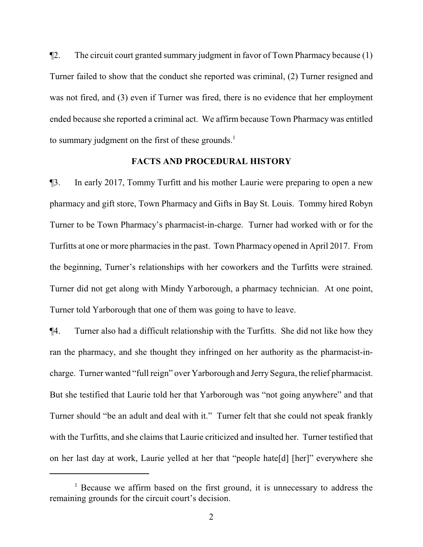¶2. The circuit court granted summary judgment in favor of Town Pharmacy because (1) Turner failed to show that the conduct she reported was criminal, (2) Turner resigned and was not fired, and (3) even if Turner was fired, there is no evidence that her employment ended because she reported a criminal act. We affirm because Town Pharmacy was entitled to summary judgment on the first of these grounds.<sup>1</sup>

## **FACTS AND PROCEDURAL HISTORY**

¶3. In early 2017, Tommy Turfitt and his mother Laurie were preparing to open a new pharmacy and gift store, Town Pharmacy and Gifts in Bay St. Louis. Tommy hired Robyn Turner to be Town Pharmacy's pharmacist-in-charge. Turner had worked with or for the Turfitts at one or more pharmacies in the past. Town Pharmacy opened in April 2017. From the beginning, Turner's relationships with her coworkers and the Turfitts were strained. Turner did not get along with Mindy Yarborough, a pharmacy technician. At one point, Turner told Yarborough that one of them was going to have to leave.

¶4. Turner also had a difficult relationship with the Turfitts. She did not like how they ran the pharmacy, and she thought they infringed on her authority as the pharmacist-incharge. Turner wanted "full reign" over Yarborough and Jerry Segura, the relief pharmacist. But she testified that Laurie told her that Yarborough was "not going anywhere" and that Turner should "be an adult and deal with it." Turner felt that she could not speak frankly with the Turfitts, and she claims that Laurie criticized and insulted her. Turner testified that on her last day at work, Laurie yelled at her that "people hate[d] [her]" everywhere she

 $1$  Because we affirm based on the first ground, it is unnecessary to address the remaining grounds for the circuit court's decision.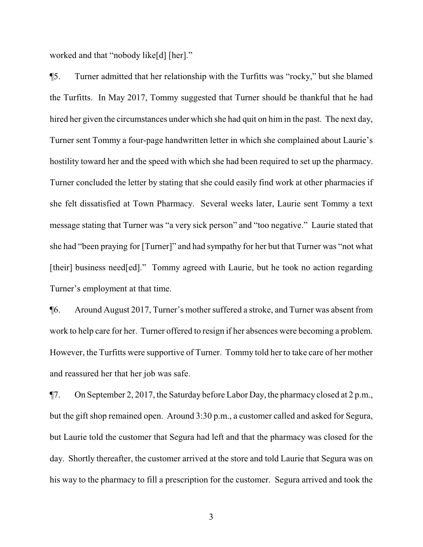worked and that "nobody like[d] [her]."

¶5. Turner admitted that her relationship with the Turfitts was "rocky," but she blamed the Turfitts. In May 2017, Tommy suggested that Turner should be thankful that he had hired her given the circumstances under which she had quit on him in the past. The next day, Turner sent Tommy a four-page handwritten letter in which she complained about Laurie's hostility toward her and the speed with which she had been required to set up the pharmacy. Turner concluded the letter by stating that she could easily find work at other pharmacies if she felt dissatisfied at Town Pharmacy. Several weeks later, Laurie sent Tommy a text message stating that Turner was "a very sick person" and "too negative." Laurie stated that she had "been praying for [Turner]" and had sympathy for her but that Turner was "not what [their] business need[ed]." Tommy agreed with Laurie, but he took no action regarding Turner's employment at that time.

¶6. Around August 2017, Turner's mother suffered a stroke, and Turner was absent from work to help care for her. Turner offered to resign if her absences were becoming a problem. However, the Turfitts were supportive of Turner. Tommy told her to take care of her mother and reassured her that her job was safe.

¶7. On September 2, 2017, the Saturday before Labor Day, the pharmacy closed at 2 p.m., but the gift shop remained open. Around 3:30 p.m., a customer called and asked for Segura, but Laurie told the customer that Segura had left and that the pharmacy was closed for the day. Shortly thereafter, the customer arrived at the store and told Laurie that Segura was on his way to the pharmacy to fill a prescription for the customer. Segura arrived and took the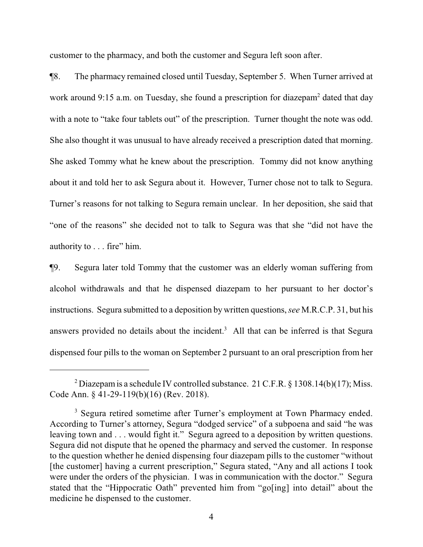customer to the pharmacy, and both the customer and Segura left soon after.

¶8. The pharmacy remained closed until Tuesday, September 5. When Turner arrived at work around 9:15 a.m. on Tuesday, she found a prescription for diazepam<sup>2</sup> dated that day with a note to "take four tablets out" of the prescription. Turner thought the note was odd. She also thought it was unusual to have already received a prescription dated that morning. She asked Tommy what he knew about the prescription. Tommy did not know anything about it and told her to ask Segura about it. However, Turner chose not to talk to Segura. Turner's reasons for not talking to Segura remain unclear. In her deposition, she said that "one of the reasons" she decided not to talk to Segura was that she "did not have the authority to . . . fire" him.

¶9. Segura later told Tommy that the customer was an elderly woman suffering from alcohol withdrawals and that he dispensed diazepam to her pursuant to her doctor's instructions. Segura submitted to a deposition by written questions, *see* M.R.C.P. 31, but his answers provided no details about the incident.<sup>3</sup> All that can be inferred is that Segura dispensed four pills to the woman on September 2 pursuant to an oral prescription from her

<sup>&</sup>lt;sup>2</sup> Diazepam is a schedule IV controlled substance. 21 C.F.R. § 1308.14(b)(17); Miss. Code Ann. § 41-29-119(b)(16) (Rev. 2018).

<sup>&</sup>lt;sup>3</sup> Segura retired sometime after Turner's employment at Town Pharmacy ended. According to Turner's attorney, Segura "dodged service" of a subpoena and said "he was leaving town and . . . would fight it." Segura agreed to a deposition by written questions. Segura did not dispute that he opened the pharmacy and served the customer. In response to the question whether he denied dispensing four diazepam pills to the customer "without [the customer] having a current prescription," Segura stated, "Any and all actions I took were under the orders of the physician. I was in communication with the doctor." Segura stated that the "Hippocratic Oath" prevented him from "go[ing] into detail" about the medicine he dispensed to the customer.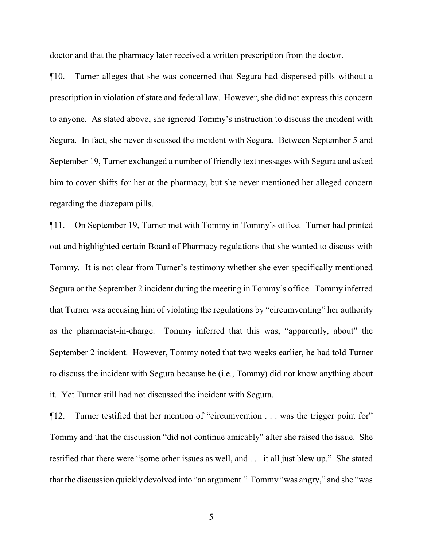doctor and that the pharmacy later received a written prescription from the doctor.

¶10. Turner alleges that she was concerned that Segura had dispensed pills without a prescription in violation of state and federal law. However, she did not express this concern to anyone. As stated above, she ignored Tommy's instruction to discuss the incident with Segura. In fact, she never discussed the incident with Segura. Between September 5 and September 19, Turner exchanged a number of friendly text messages with Segura and asked him to cover shifts for her at the pharmacy, but she never mentioned her alleged concern regarding the diazepam pills.

¶11. On September 19, Turner met with Tommy in Tommy's office. Turner had printed out and highlighted certain Board of Pharmacy regulations that she wanted to discuss with Tommy. It is not clear from Turner's testimony whether she ever specifically mentioned Segura or the September 2 incident during the meeting in Tommy's office. Tommy inferred that Turner was accusing him of violating the regulations by "circumventing" her authority as the pharmacist-in-charge. Tommy inferred that this was, "apparently, about" the September 2 incident. However, Tommy noted that two weeks earlier, he had told Turner to discuss the incident with Segura because he (i.e., Tommy) did not know anything about it. Yet Turner still had not discussed the incident with Segura.

¶12. Turner testified that her mention of "circumvention . . . was the trigger point for" Tommy and that the discussion "did not continue amicably" after she raised the issue. She testified that there were "some other issues as well, and . . . it all just blew up." She stated that the discussion quickly devolved into "an argument." Tommy "was angry," and she "was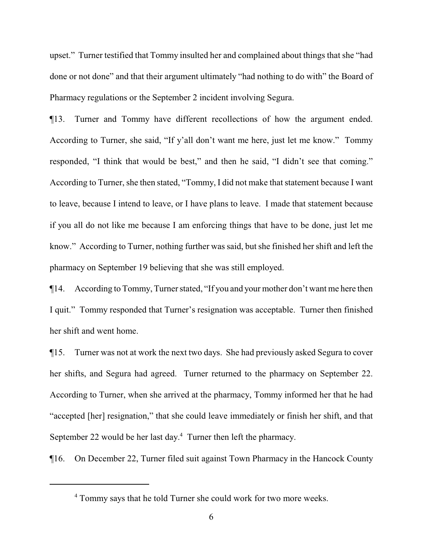upset." Turner testified that Tommy insulted her and complained about things that she "had done or not done" and that their argument ultimately "had nothing to do with" the Board of Pharmacy regulations or the September 2 incident involving Segura.

¶13. Turner and Tommy have different recollections of how the argument ended. According to Turner, she said, "If y'all don't want me here, just let me know." Tommy responded, "I think that would be best," and then he said, "I didn't see that coming." According to Turner, she then stated, "Tommy, I did not make that statement because I want to leave, because I intend to leave, or I have plans to leave. I made that statement because if you all do not like me because I am enforcing things that have to be done, just let me know." According to Turner, nothing further was said, but she finished her shift and left the pharmacy on September 19 believing that she was still employed.

¶14. According to Tommy, Turner stated, "If you and your mother don't want me here then I quit." Tommy responded that Turner's resignation was acceptable. Turner then finished her shift and went home.

¶15. Turner was not at work the next two days. She had previously asked Segura to cover her shifts, and Segura had agreed. Turner returned to the pharmacy on September 22. According to Turner, when she arrived at the pharmacy, Tommy informed her that he had "accepted [her] resignation," that she could leave immediately or finish her shift, and that September 22 would be her last day.<sup>4</sup> Turner then left the pharmacy.

¶16. On December 22, Turner filed suit against Town Pharmacy in the Hancock County

<sup>&</sup>lt;sup>4</sup> Tommy says that he told Turner she could work for two more weeks.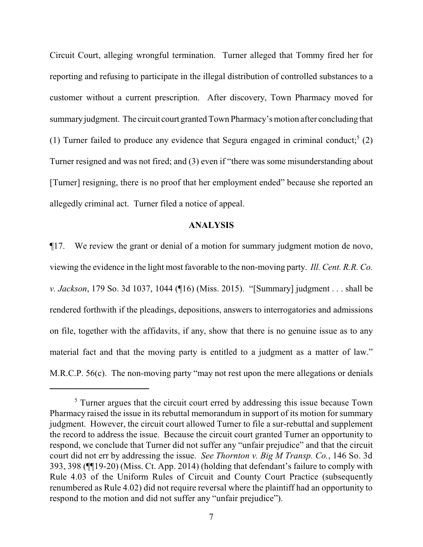Circuit Court, alleging wrongful termination. Turner alleged that Tommy fired her for reporting and refusing to participate in the illegal distribution of controlled substances to a customer without a current prescription. After discovery, Town Pharmacy moved for summary judgment. The circuit court granted Town Pharmacy's motion after concluding that (1) Turner failed to produce any evidence that Segura engaged in criminal conduct;<sup>5</sup> (2) Turner resigned and was not fired; and (3) even if "there was some misunderstanding about [Turner] resigning, there is no proof that her employment ended" because she reported an allegedly criminal act. Turner filed a notice of appeal.

## **ANALYSIS**

¶17. We review the grant or denial of a motion for summary judgment motion de novo, viewing the evidence in the light most favorable to the non-moving party. *Ill. Cent. R.R. Co. v. Jackson*, 179 So. 3d 1037, 1044 (¶16) (Miss. 2015). "[Summary] judgment . . . shall be rendered forthwith if the pleadings, depositions, answers to interrogatories and admissions on file, together with the affidavits, if any, show that there is no genuine issue as to any material fact and that the moving party is entitled to a judgment as a matter of law." M.R.C.P. 56(c). The non-moving party "may not rest upon the mere allegations or denials

<sup>&</sup>lt;sup>5</sup> Turner argues that the circuit court erred by addressing this issue because Town Pharmacy raised the issue in its rebuttal memorandum in support of its motion for summary judgment. However, the circuit court allowed Turner to file a sur-rebuttal and supplement the record to address the issue. Because the circuit court granted Turner an opportunity to respond, we conclude that Turner did not suffer any "unfair prejudice" and that the circuit court did not err by addressing the issue. *See Thornton v. Big M Transp. Co.*, 146 So. 3d 393, 398 (¶¶19-20) (Miss. Ct. App. 2014) (holding that defendant's failure to comply with Rule 4.03 of the Uniform Rules of Circuit and County Court Practice (subsequently renumbered as Rule 4.02) did not require reversal where the plaintiff had an opportunity to respond to the motion and did not suffer any "unfair prejudice").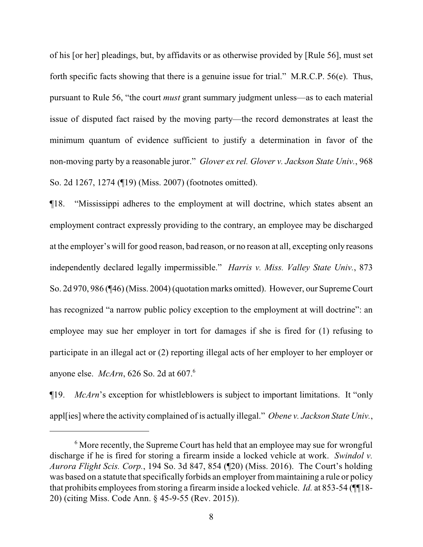of his [or her] pleadings, but, by affidavits or as otherwise provided by [Rule 56], must set forth specific facts showing that there is a genuine issue for trial." M.R.C.P. 56(e). Thus, pursuant to Rule 56, "the court *must* grant summary judgment unless—as to each material issue of disputed fact raised by the moving party—the record demonstrates at least the minimum quantum of evidence sufficient to justify a determination in favor of the non-moving party by a reasonable juror." *Glover ex rel. Glover v. Jackson State Univ.*, 968 So. 2d 1267, 1274 (¶19) (Miss. 2007) (footnotes omitted).

¶18. "Mississippi adheres to the employment at will doctrine, which states absent an employment contract expressly providing to the contrary, an employee may be discharged at the employer's will for good reason, bad reason, or no reason at all, excepting only reasons independently declared legally impermissible." *Harris v. Miss. Valley State Univ.*, 873 So. 2d 970, 986 (¶46) (Miss. 2004) (quotation marks omitted). However, our Supreme Court has recognized "a narrow public policy exception to the employment at will doctrine": an employee may sue her employer in tort for damages if she is fired for (1) refusing to participate in an illegal act or (2) reporting illegal acts of her employer to her employer or anyone else. *McArn*, 626 So. 2d at 607.<sup>6</sup>

¶19. *McArn*'s exception for whistleblowers is subject to important limitations. It "only appl[ies] where the activity complained of is actually illegal." *Obene v. Jackson State Univ.*,

<sup>&</sup>lt;sup>6</sup> More recently, the Supreme Court has held that an employee may sue for wrongful discharge if he is fired for storing a firearm inside a locked vehicle at work. *Swindol v. Aurora Flight Scis. Corp.*, 194 So. 3d 847, 854 (¶20) (Miss. 2016). The Court's holding was based on a statute that specifically forbids an employer frommaintaining a rule or policy that prohibits employees from storing a firearm inside a locked vehicle. *Id.* at 853-54 (¶¶18- 20) (citing Miss. Code Ann. § 45-9-55 (Rev. 2015)).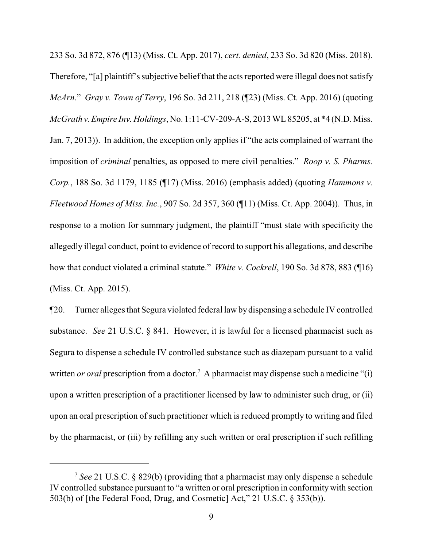233 So. 3d 872, 876 (¶13) (Miss. Ct. App. 2017), *cert. denied*, 233 So. 3d 820 (Miss. 2018). Therefore, "[a] plaintiff's subjective belief that the acts reported were illegal does not satisfy *McArn*." *Gray v. Town of Terry*, 196 So. 3d 211, 218 (¶23) (Miss. Ct. App. 2016) (quoting *McGrath v.Empire Inv. Holdings*, No. 1:11-CV-209-A-S, 2013 WL 85205, at \*4 (N.D. Miss. Jan. 7, 2013)). In addition, the exception only applies if "the acts complained of warrant the imposition of *criminal* penalties, as opposed to mere civil penalties." *Roop v. S. Pharms. Corp.*, 188 So. 3d 1179, 1185 (¶17) (Miss. 2016) (emphasis added) (quoting *Hammons v. Fleetwood Homes of Miss. Inc.*, 907 So. 2d 357, 360 (¶11) (Miss. Ct. App. 2004)). Thus, in response to a motion for summary judgment, the plaintiff "must state with specificity the allegedly illegal conduct, point to evidence of record to support his allegations, and describe how that conduct violated a criminal statute." *White v. Cockrell*, 190 So. 3d 878, 883 (¶16) (Miss. Ct. App. 2015).

¶20. Turner alleges that Segura violated federal law bydispensing a schedule IV controlled substance. *See* 21 U.S.C. § 841. However, it is lawful for a licensed pharmacist such as Segura to dispense a schedule IV controlled substance such as diazepam pursuant to a valid written *or oral* prescription from a doctor.<sup>7</sup> A pharmacist may dispense such a medicine "(i) upon a written prescription of a practitioner licensed by law to administer such drug, or (ii) upon an oral prescription of such practitioner which is reduced promptly to writing and filed by the pharmacist, or (iii) by refilling any such written or oral prescription if such refilling

<sup>7</sup> *See* 21 U.S.C. § 829(b) (providing that a pharmacist may only dispense a schedule IV controlled substance pursuant to "a written or oral prescription in conformitywith section 503(b) of [the Federal Food, Drug, and Cosmetic] Act," 21 U.S.C. § 353(b)).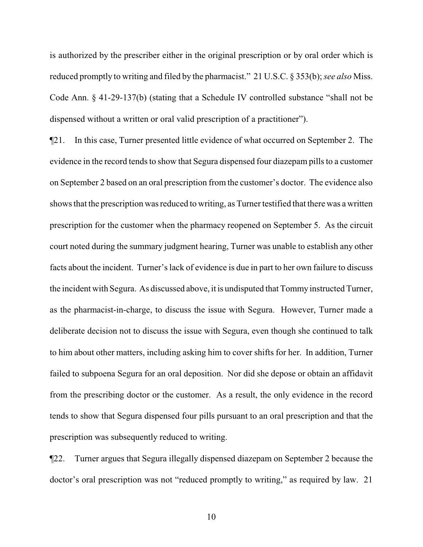is authorized by the prescriber either in the original prescription or by oral order which is reduced promptly to writing and filed by the pharmacist." 21 U.S.C. § 353(b); *see also* Miss. Code Ann. § 41-29-137(b) (stating that a Schedule IV controlled substance "shall not be dispensed without a written or oral valid prescription of a practitioner").

¶21. In this case, Turner presented little evidence of what occurred on September 2. The evidence in the record tends to show that Segura dispensed four diazepam pills to a customer on September 2 based on an oral prescription from the customer's doctor. The evidence also shows that the prescription was reduced to writing, as Turner testified that there was a written prescription for the customer when the pharmacy reopened on September 5. As the circuit court noted during the summary judgment hearing, Turner was unable to establish any other facts about the incident. Turner's lack of evidence is due in part to her own failure to discuss the incident with Segura. As discussed above, it is undisputed that Tommy instructed Turner, as the pharmacist-in-charge, to discuss the issue with Segura. However, Turner made a deliberate decision not to discuss the issue with Segura, even though she continued to talk to him about other matters, including asking him to cover shifts for her. In addition, Turner failed to subpoena Segura for an oral deposition. Nor did she depose or obtain an affidavit from the prescribing doctor or the customer. As a result, the only evidence in the record tends to show that Segura dispensed four pills pursuant to an oral prescription and that the prescription was subsequently reduced to writing.

¶22. Turner argues that Segura illegally dispensed diazepam on September 2 because the doctor's oral prescription was not "reduced promptly to writing," as required by law. 21

10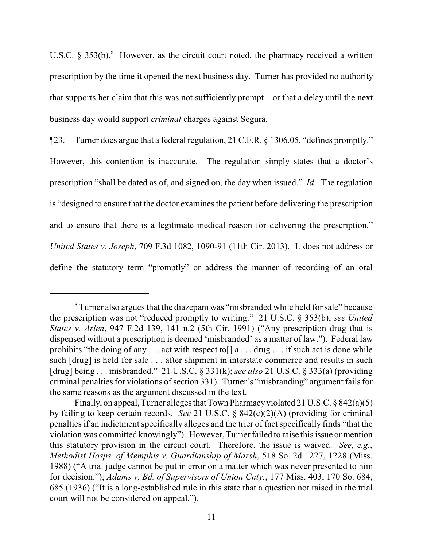U.S.C.  $\delta$  353(b).<sup>8</sup> However, as the circuit court noted, the pharmacy received a written prescription by the time it opened the next business day. Turner has provided no authority that supports her claim that this was not sufficiently prompt—or that a delay until the next business day would support *criminal* charges against Segura.

¶23. Turner does argue that a federal regulation, 21 C.F.R. § 1306.05, "defines promptly." However, this contention is inaccurate. The regulation simply states that a doctor's prescription "shall be dated as of, and signed on, the day when issued." *Id.* The regulation is "designed to ensure that the doctor examines the patient before delivering the prescription and to ensure that there is a legitimate medical reason for delivering the prescription." *United States v. Joseph*, 709 F.3d 1082, 1090-91 (11th Cir. 2013). It does not address or define the statutory term "promptly" or address the manner of recording of an oral

<sup>&</sup>lt;sup>8</sup> Turner also argues that the diazepam was "misbranded while held for sale" because the prescription was not "reduced promptly to writing." 21 U.S.C. § 353(b); *see United States v. Arlen*, 947 F.2d 139, 141 n.2 (5th Cir. 1991) ("Any prescription drug that is dispensed without a prescription is deemed 'misbranded' as a matter of law."). Federal law prohibits "the doing of any  $\dots$  act with respect to  $\lceil a \dots d\text{rug } \dots \text{if such act is done while}$ such [drug] is held for sale . . . after shipment in interstate commerce and results in such [drug] being . . . misbranded." 21 U.S.C. § 331(k); *see also* 21 U.S.C. § 333(a) (providing criminal penalties for violations of section 331). Turner's "misbranding" argument fails for the same reasons as the argument discussed in the text.

Finally, on appeal, Turner alleges that Town Pharmacy violated 21 U.S.C.  $\S 842(a)(5)$ by failing to keep certain records. *See* 21 U.S.C. § 842(c)(2)(A) (providing for criminal penalties if an indictment specifically alleges and the trier of fact specifically finds "that the violation was committed knowingly"). However, Turner failed to raise this issue or mention this statutory provision in the circuit court. Therefore, the issue is waived. *See, e.g.*, *Methodist Hosps. of Memphis v. Guardianship of Marsh*, 518 So. 2d 1227, 1228 (Miss. 1988) ("A trial judge cannot be put in error on a matter which was never presented to him for decision."); *Adams v. Bd. of Supervisors of Union Cnty.*, 177 Miss. 403, 170 So. 684, 685 (1936) ("It is a long-established rule in this state that a question not raised in the trial court will not be considered on appeal.").